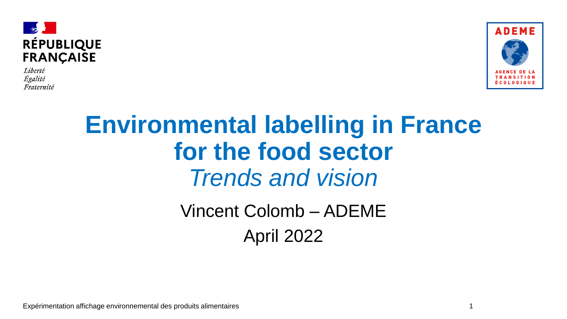

Liberté Égalité Fraternité



## **Environmental labelling in France for the food sector** *Trends and vision*

Vincent Colomb – ADEME April 2022

Expérimentation affichage environnemental des produits alimentaires

1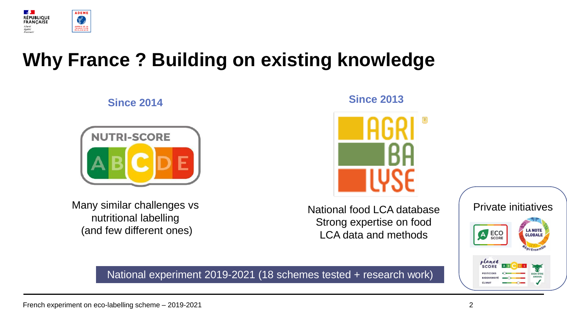

## **Why France ? Building on existing knowledge**

**Since Since 2013 2014**



Many similar challenges vs nutritional labelling (and few different ones)

National food LCA database Strong expertise on food LCA data and methods

National experiment 2019-2021 (18 schemes tested + research work)

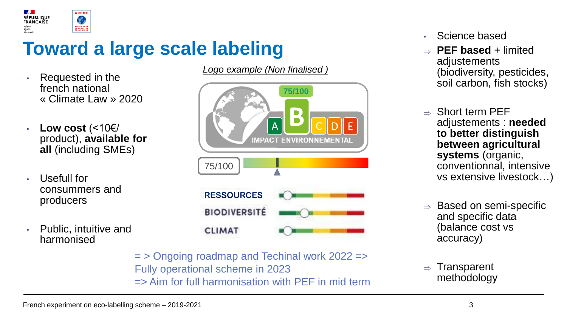

## **Toward a large scale labeling**

- Requested in the french national « Climate Law » 2020
- **Low cost** (<10€/ product), **available for all** (including SMEs)
- Usefull for consummers and producers
- Public, intuitive and harmonised

**75/100**  $\overline{A}$ **IMPACT ENVIRONNEMENTAL** 75/100 **RESSOURCES BIODIVERSITÉ CLIMAT** 

*Logo example (Non finalised )*

= > Ongoing roadmap and Techinal work 2022 => Fully operational scheme in 2023 => Aim for full harmonisation with PEF in mid term

- Science based
- $\Rightarrow$  **PEF based** + limited adjustements (biodiversity, pesticides, soil carbon, fish stocks)
- $\rightarrow$  Short term PFF adjustements : **needed to better distinguish between agricultural systems** (organic, conventionnal, intensive vs extensive livestock…)
- $\Rightarrow$  Based on semi-specific and specific data (balance cost vs accuracy)
- **Transparent** methodology